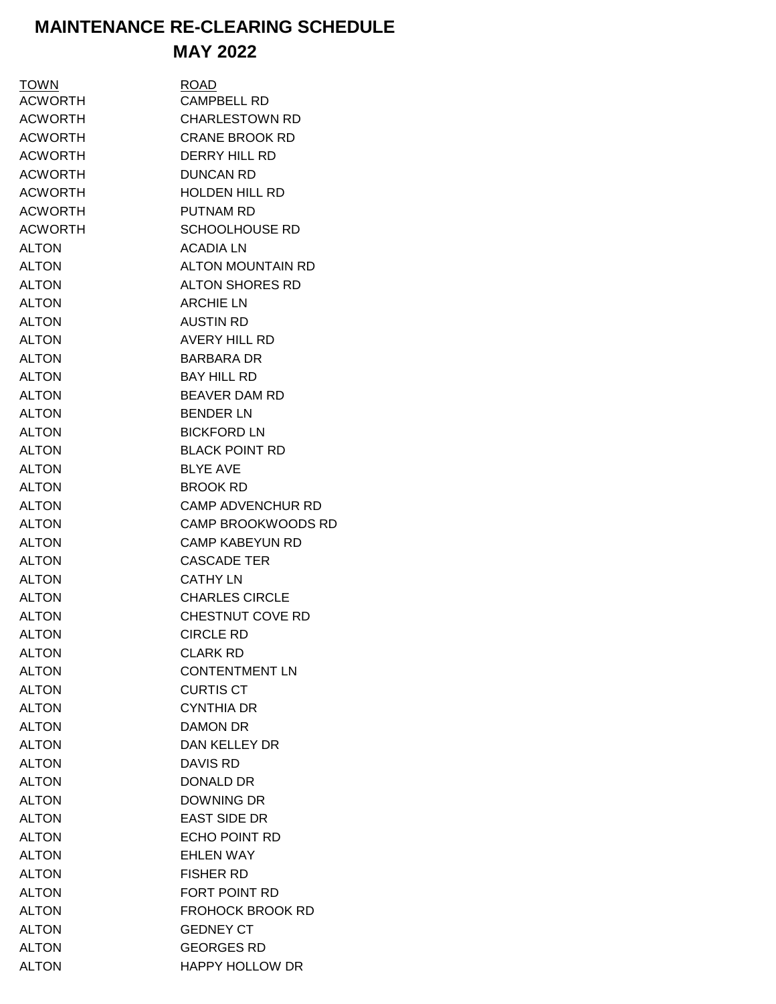## **MAINTENANCE RE-CLEARING SCHEDULE MAY 2022**

| TOWN           | <b>ROAD</b>               |
|----------------|---------------------------|
| <b>ACWORTH</b> | <b>CAMPBELL RD</b>        |
| <b>ACWORTH</b> | <b>CHARLESTOWN RD</b>     |
| <b>ACWORTH</b> | <b>CRANE BROOK RD</b>     |
| <b>ACWORTH</b> | DERRY HILL RD             |
| <b>ACWORTH</b> | <b>DUNCAN RD</b>          |
| <b>ACWORTH</b> | <b>HOLDEN HILL RD</b>     |
| <b>ACWORTH</b> | <b>PUTNAM RD</b>          |
| <b>ACWORTH</b> | <b>SCHOOLHOUSE RD</b>     |
| <b>ALTON</b>   | <b>ACADIA LN</b>          |
| <b>ALTON</b>   | <b>ALTON MOUNTAIN RD</b>  |
| <b>ALTON</b>   | <b>ALTON SHORES RD</b>    |
| <b>ALTON</b>   | <b>ARCHIE LN</b>          |
| <b>ALTON</b>   | <b>AUSTIN RD</b>          |
| <b>ALTON</b>   | <b>AVERY HILL RD</b>      |
| <b>ALTON</b>   | <b>BARBARA DR</b>         |
| <b>ALTON</b>   | <b>BAY HILL RD</b>        |
| <b>ALTON</b>   | <b>BEAVER DAM RD</b>      |
| <b>ALTON</b>   | <b>BENDER LN</b>          |
| <b>ALTON</b>   | <b>BICKFORD LN</b>        |
| <b>ALTON</b>   | <b>BLACK POINT RD</b>     |
| <b>ALTON</b>   | <b>BLYE AVE</b>           |
| <b>ALTON</b>   | <b>BROOK RD</b>           |
| <b>ALTON</b>   | <b>CAMP ADVENCHUR RD</b>  |
| <b>ALTON</b>   | <b>CAMP BROOKWOODS RD</b> |
| <b>ALTON</b>   | <b>CAMP KABEYUN RD</b>    |
| <b>ALTON</b>   | <b>CASCADE TER</b>        |
| <b>ALTON</b>   | <b>CATHY LN</b>           |
| <b>ALTON</b>   | <b>CHARLES CIRCLE</b>     |
| <b>ALTON</b>   | CHESTNUT COVE RD          |
| <b>ALTON</b>   | <b>CIRCLE RD</b>          |
| <b>ALTON</b>   | <b>CLARK RD</b>           |
| <b>ALTON</b>   | <b>CONTENTMENT LN</b>     |
| <b>ALTON</b>   | <b>CURTIS CT</b>          |
| <b>ALTON</b>   | <b>CYNTHIA DR</b>         |
| <b>ALTON</b>   | DAMON DR                  |
| <b>ALTON</b>   | <b>DAN KELLEY DR</b>      |
| <b>ALTON</b>   | <b>DAVIS RD</b>           |
| <b>ALTON</b>   | <b>DONALD DR</b>          |
| <b>ALTON</b>   | DOWNING DR                |
| <b>ALTON</b>   | <b>EAST SIDE DR</b>       |
| <b>ALTON</b>   | <b>ECHO POINT RD</b>      |
| <b>ALTON</b>   | <b>EHLEN WAY</b>          |
| <b>ALTON</b>   | <b>FISHER RD</b>          |
| <b>ALTON</b>   | FORT POINT RD             |
| <b>ALTON</b>   | <b>FROHOCK BROOK RD</b>   |
| <b>ALTON</b>   | <b>GEDNEY CT</b>          |
| <b>ALTON</b>   | <b>GEORGES RD</b>         |
| <b>ALTON</b>   | <b>HAPPY HOLLOW DR</b>    |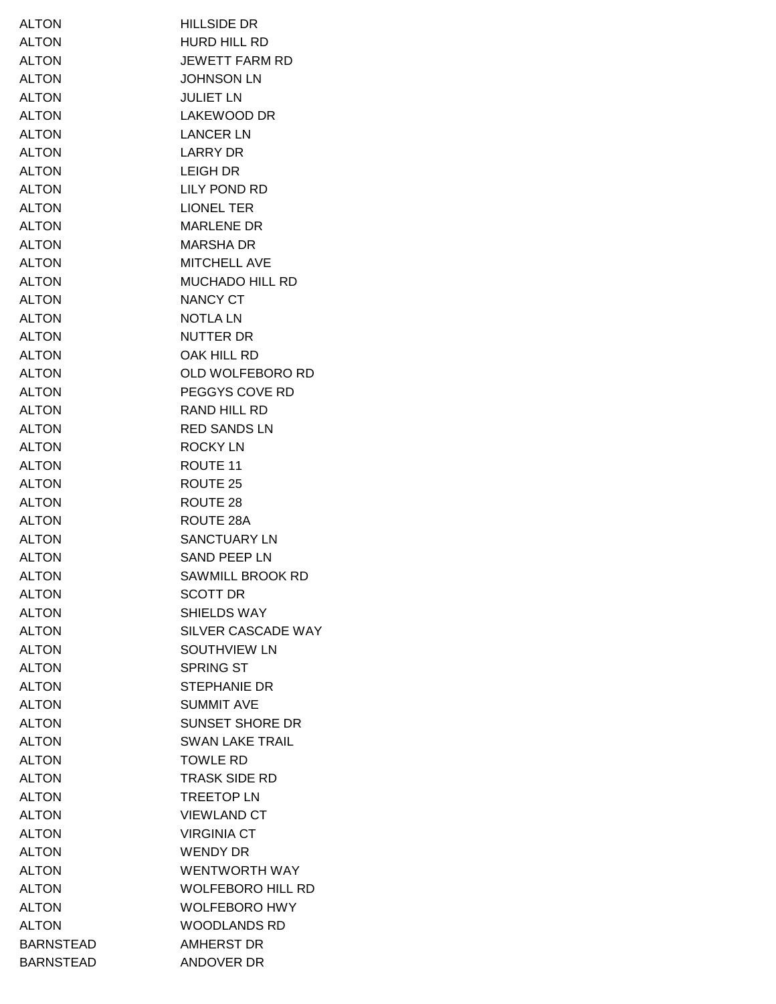| <b>ALTON</b>     | <b>HILLSIDE DR</b>       |
|------------------|--------------------------|
| <b>ALTON</b>     | HURD HILL RD             |
| <b>ALTON</b>     | <b>JEWETT FARM RD</b>    |
| <b>ALTON</b>     | <b>JOHNSON LN</b>        |
| <b>ALTON</b>     | JULIET LN                |
| <b>ALTON</b>     | LAKEWOOD DR              |
| <b>ALTON</b>     | <b>LANCER LN</b>         |
| <b>ALTON</b>     | LARRY DR                 |
| <b>ALTON</b>     | LEIGH DR                 |
| <b>ALTON</b>     | LILY POND RD             |
| <b>ALTON</b>     | <b>LIONEL TER</b>        |
| <b>ALTON</b>     | <b>MARLENE DR</b>        |
| <b>ALTON</b>     | <b>MARSHA DR</b>         |
| <b>ALTON</b>     | MITCHELL AVE             |
| <b>ALTON</b>     | MUCHADO HILL RD          |
| <b>ALTON</b>     | NANCY CT                 |
| <b>ALTON</b>     | <b>NOTLALN</b>           |
| <b>ALTON</b>     | <b>NUTTER DR</b>         |
| <b>ALTON</b>     | OAK HILL RD              |
| <b>ALTON</b>     | OLD WOLFEBORO RD         |
| <b>ALTON</b>     | PEGGYS COVE RD           |
| <b>ALTON</b>     | RAND HILL RD             |
| <b>ALTON</b>     | <b>RED SANDS LN</b>      |
| <b>ALTON</b>     | <b>ROCKY LN</b>          |
| <b>ALTON</b>     | ROUTE 11                 |
| <b>ALTON</b>     | ROUTE 25                 |
| <b>ALTON</b>     | ROUTE 28                 |
| <b>ALTON</b>     | ROUTE 28A                |
| <b>ALTON</b>     | SANCTUARY LN             |
| <b>ALTON</b>     | <b>SAND PEEP LN</b>      |
| <b>ALTON</b>     | SAWMILL BROOK RD         |
| <b>ALTON</b>     | <b>SCOTT DR</b>          |
| <b>ALTON</b>     | SHIELDS WAY              |
| <b>ALTON</b>     | SILVER CASCADE WAY       |
| <b>ALTON</b>     | <b>SOUTHVIEW LN</b>      |
| <b>ALTON</b>     | <b>SPRING ST</b>         |
| <b>ALTON</b>     | <b>STEPHANIE DR</b>      |
| <b>ALTON</b>     | <b>SUMMIT AVE</b>        |
| <b>ALTON</b>     | <b>SUNSET SHORE DR</b>   |
| <b>ALTON</b>     | <b>SWAN LAKE TRAIL</b>   |
| <b>ALTON</b>     | <b>TOWLE RD</b>          |
| ALTON            | <b>TRASK SIDE RD</b>     |
| <b>ALTON</b>     | <b>TREETOP LN</b>        |
| <b>ALTON</b>     | <b>VIEWLAND CT</b>       |
| <b>ALTON</b>     | <b>VIRGINIA CT</b>       |
| <b>ALTON</b>     | <b>WENDY DR</b>          |
| <b>ALTON</b>     | <b>WENTWORTH WAY</b>     |
| <b>ALTON</b>     | <b>WOLFEBORO HILL RD</b> |
| <b>ALTON</b>     | <b>WOLFEBORO HWY</b>     |
| <b>ALTON</b>     | <b>WOODLANDS RD</b>      |
| <b>BARNSTEAD</b> | <b>AMHERST DR</b>        |
| <b>BARNSTEAD</b> | ANDOVER DR               |
|                  |                          |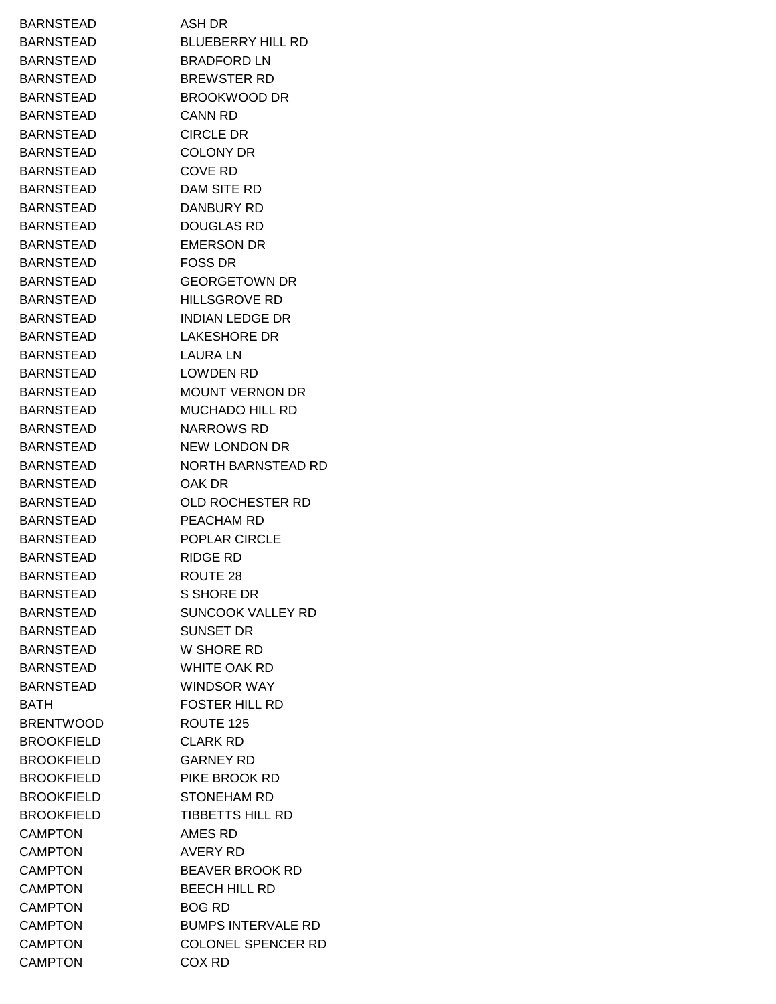BARNSTEAD ASH DR BARNSTEAD BLUEBERRY HILL RD BARNSTEAD BRADFORD LN BARNSTEAD BREWSTER RD BARNSTEAD BROOKWOOD DR BARNSTEAD CANN RD BARNSTEAD CIRCLE DR BARNSTEAD COLONY DR BARNSTEAD COVE RD BARNSTEAD DAM SITE RD BARNSTEAD DANBURY RD BARNSTEAD DOUGLAS RD BARNSTEAD EMERSON DR BARNSTEAD FOSS DR BARNSTEAD GEORGETOWN DR BARNSTEAD HILLSGROVE RD BARNSTEAD INDIAN LEDGE DR BARNSTEAD LAKESHORE DR BARNSTEAD LAURA LN BARNSTEAD LOWDEN RD BARNSTEAD MOUNT VERNON DR BARNSTEAD MUCHADO HILL RD BARNSTEAD NARROWS RD BARNSTEAD NEW LONDON DR BARNSTEAD NORTH BARNSTEAD RD BARNSTEAD OAK DR BARNSTEAD OLD ROCHESTER RD BARNSTEAD PEACHAM RD BARNSTEAD POPLAR CIRCLE BARNSTEAD RIDGE RD BARNSTEAD ROUTE 28 BARNSTEAD S SHORE DR BARNSTEAD SUNCOOK VALLEY RD BARNSTEAD SUNSET DR BARNSTEAD W SHORE RD BARNSTEAD WHITE OAK RD BARNSTEAD WINDSOR WAY BATH FOSTER HILL RD BRENTWOOD ROUTE 125 BROOKFIELD CLARK RD BROOKFIELD GARNEY RD BROOKFIELD PIKE BROOK RD BROOKFIELD STONEHAM RD BROOKFIELD TIBBETTS HILL RD CAMPTON AMES RD CAMPTON AVERY RD CAMPTON BEAVER BROOK RD CAMPTON BEECH HILL RD CAMPTON BOG RD CAMPTON BUMPS INTERVALE RD CAMPTON COLONEL SPENCER RD CAMPTON COX RD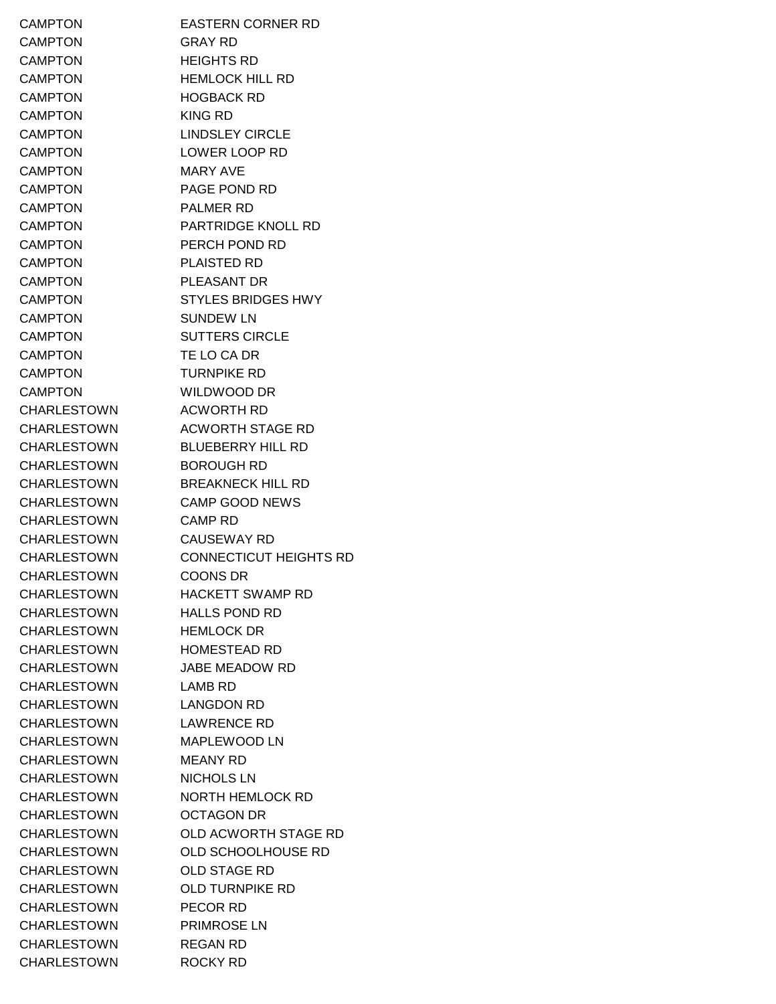CAMPTON EASTERN CORNER RD CAMPTON GRAY RD CAMPTON HEIGHTS RD CAMPTON HEMLOCK HILL RD CAMPTON HOGBACK RD CAMPTON KING RD CAMPTON LINDSLEY CIRCLE CAMPTON LOWER LOOP RD CAMPTON MARY AVE CAMPTON PAGE POND RD CAMPTON PALMER RD CAMPTON PARTRIDGE KNOLL RD CAMPTON PERCH POND RD CAMPTON PLAISTED RD CAMPTON PLEASANT DR CAMPTON STYLES BRIDGES HWY CAMPTON SUNDEW LN CAMPTON SUTTERS CIRCLE CAMPTON TE LO CA DR CAMPTON TURNPIKE RD CAMPTON WILDWOOD DR CHARLESTOWN ACWORTH RD CHARLESTOWN ACWORTH STAGE RD CHARLESTOWN BLUEBERRY HILL RD CHARLESTOWN BOROUGH RD CHARLESTOWN BREAKNECK HILL RD CHARLESTOWN CAMP GOOD NEWS CHARLESTOWN CAMP RD CHARLESTOWN CAUSEWAY RD CHARLESTOWN CONNECTICUT HEIGHTS RD CHARLESTOWN COONS DR CHARLESTOWN HACKETT SWAMP RD CHARLESTOWN HALLS POND RD CHARLESTOWN HEMLOCK DR CHARLESTOWN HOMESTEAD RD CHARLESTOWN JABE MEADOW RD CHARLESTOWN LAMB RD CHARLESTOWN LANGDON RD CHARLESTOWN LAWRENCE RD CHARLESTOWN MAPLEWOOD LN CHARLESTOWN MEANY RD CHARLESTOWN NICHOLS LN CHARLESTOWN NORTH HEMLOCK RD CHARLESTOWN OCTAGON DR CHARLESTOWN OLD ACWORTH STAGE RD CHARLESTOWN OLD SCHOOLHOUSE RD CHARLESTOWN OLD STAGE RD CHARLESTOWN OLD TURNPIKE RD CHARLESTOWN PECOR RD CHARLESTOWN PRIMROSE LN CHARLESTOWN REGAN RD CHARLESTOWN ROCKY RD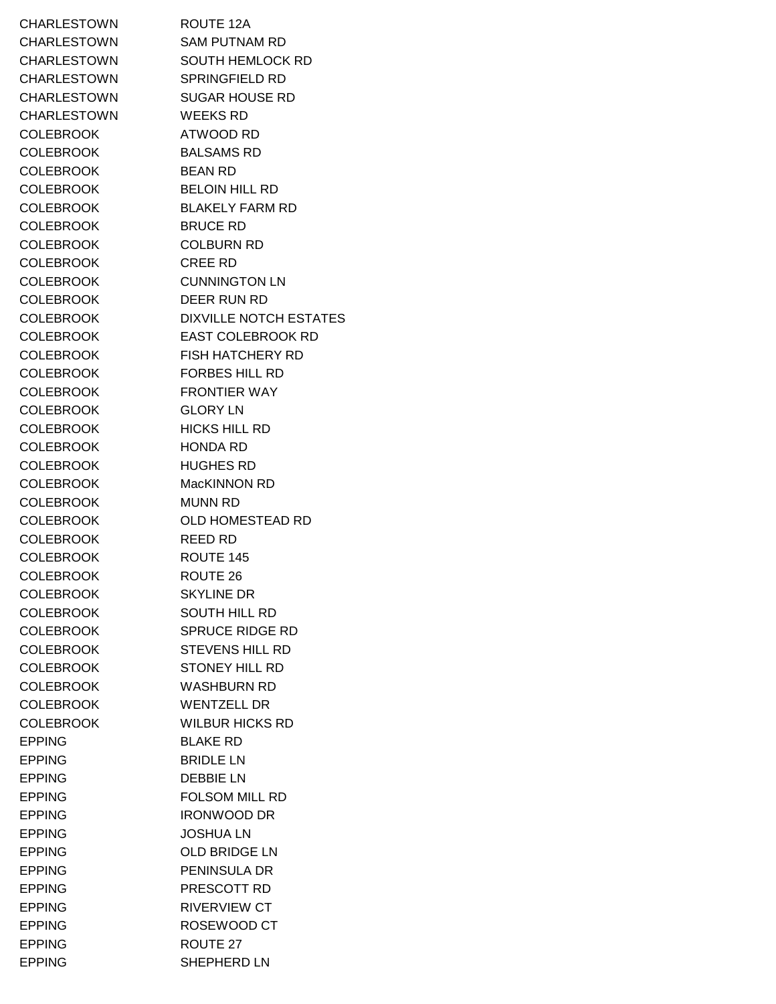CHARLESTOWN ROUTE 12A CHARLESTOWN SAM PUTNAM RD CHARLESTOWN SOUTH HEMLOCK RD CHARLESTOWN SPRINGFIELD RD CHARLESTOWN SUGAR HOUSE RD CHARLESTOWN WEEKS RD COLEBROOK ATWOOD RD COLEBROOK BALSAMS RD COLEBROOK BEAN RD COLEBROOK BELOIN HILL RD COLEBROOK BLAKELY FARM RD COLEBROOK BRUCE RD COLEBROOK COLBURN RD COLEBROOK CREE RD COLEBROOK CUNNINGTON LN COLEBROOK DEER RUN RD COLEBROOK DIXVILLE NOTCH ESTATES COLEBROOK EAST COLEBROOK RD COLEBROOK FISH HATCHERY RD COLEBROOK FORBES HILL RD COLEBROOK FRONTIER WAY COLEBROOK GLORY LN COLEBROOK HICKS HILL RD COLEBROOK HONDA RD COLEBROOK HUGHES RD COLEBROOK MacKINNON RD COLEBROOK MUNN RD COLEBROOK OLD HOMESTEAD RD COLEBROOK REED RD COLEBROOK ROUTE 145 COLEBROOK ROUTE 26 COLEBROOK SKYLINE DR COLEBROOK SOUTH HILL RD COLEBROOK SPRUCE RIDGE RD COLEBROOK STEVENS HILL RD COLEBROOK STONEY HILL RD COLEBROOK WASHBURN RD COLEBROOK WENTZELL DR COLEBROOK WILBUR HICKS RD EPPING BLAKE RD EPPING BRIDLE LN EPPING DEBBIE LN EPPING FOLSOM MILL RD EPPING IRONWOOD DR EPPING JOSHUA LN EPPING OLD BRIDGE LN EPPING PENINSULA DR EPPING PRESCOTT RD EPPING RIVERVIEW CT EPPING ROSEWOOD CT EPPING ROUTE 27 EPPING SHEPHERD LN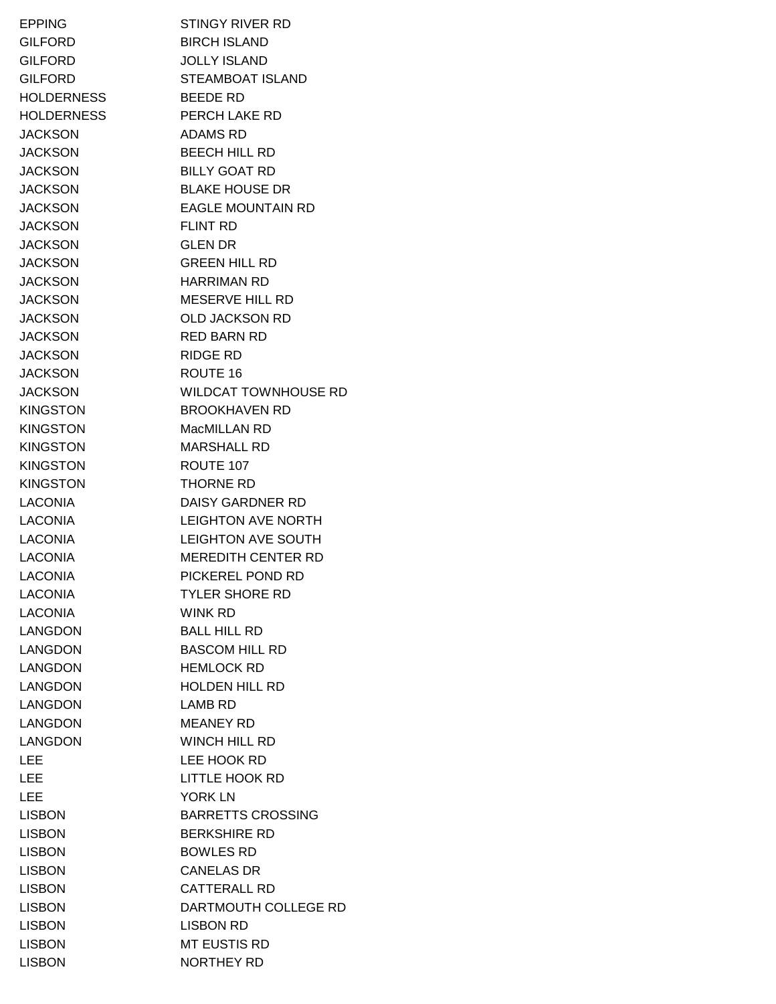EPPING STINGY RIVER RD GILFORD BIRCH ISLAND GILFORD JOLLY ISLAND GILFORD STEAMBOAT ISLAND HOLDERNESS BEEDE RD HOLDERNESS PERCH LAKE RD JACKSON ADAMS RD JACKSON BEECH HILL RD JACKSON BILLY GOAT RD JACKSON BLAKE HOUSE DR JACKSON EAGLE MOUNTAIN RD JACKSON FLINT RD JACKSON GLEN DR JACKSON GREEN HILL RD JACKSON HARRIMAN RD JACKSON MESERVE HILL RD JACKSON OLD JACKSON RD JACKSON RED BARN RD JACKSON RIDGE RD JACKSON ROUTE 16 JACKSON WILDCAT TOWNHOUSE RD KINGSTON BROOKHAVEN RD KINGSTON MacMILLAN RD KINGSTON MARSHALL RD KINGSTON ROUTE 107 KINGSTON THORNE RD LACONIA DAISY GARDNER RD LACONIA LEIGHTON AVE NORTH LACONIA LEIGHTON AVE SOUTH LACONIA MEREDITH CENTER RD LACONIA PICKEREL POND RD LACONIA TYLER SHORE RD LACONIA WINK RD LANGDON BALL HILL RD LANGDON BASCOM HILL RD LANGDON HEMLOCK RD LANGDON HOLDEN HILL RD LANGDON LAMB RD LANGDON MEANEY RD LANGDON WINCH HILL RD LEE LEE HOOK RD LEE LITTLE HOOK RD LEE YORK LN LISBON BARRETTS CROSSING LISBON BERKSHIRE RD LISBON BOWLES RD LISBON CANELAS DR LISBON CATTERALL RD LISBON DARTMOUTH COLLEGE RD LISBON LISBON RD LISBON MT EUSTIS RD LISBON NORTHEY RD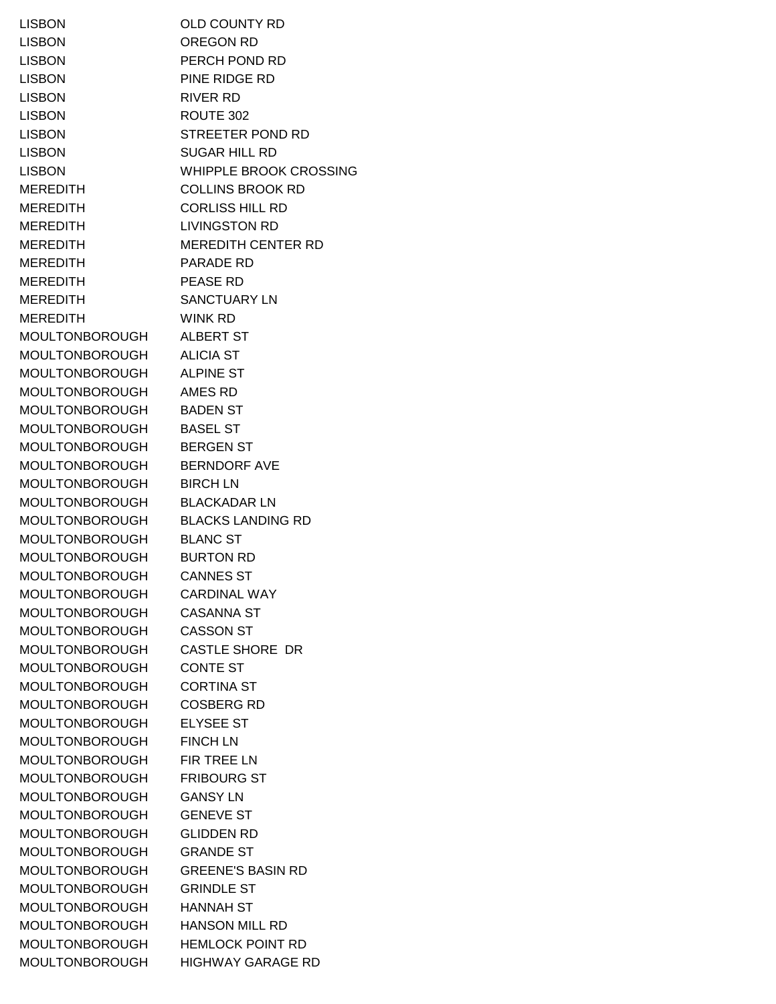LISBON OLD COUNTY RD LISBON OREGON RD LISBON PERCH POND RD LISBON PINE RIDGE RD LISBON RIVER RD LISBON ROUTE 302 LISBON STREETER POND RD LISBON SUGAR HILL RD LISBON WHIPPLE BROOK CROSSING MEREDITH COLLINS BROOK RD MEREDITH CORLISS HILL RD MEREDITH LIVINGSTON RD MEREDITH MEREDITH CENTER RD MEREDITH PARADE RD MEREDITH PEASE RD MEREDITH SANCTUARY LN MEREDITH WINK RD MOULTONBOROUGH ALBERT ST MOULTONBOROUGH ALICIA ST MOULTONBOROUGH ALPINE ST MOULTONBOROUGH AMES RD MOULTONBOROUGH BADEN ST MOULTONBOROUGH BASEL ST MOULTONBOROUGH BERGEN ST MOULTONBOROUGH BERNDORF AVE MOULTONBOROUGH BIRCH LN MOULTONBOROUGH BLACKADAR LN MOULTONBOROUGH BLACKS LANDING RD MOULTONBOROUGH BLANC ST MOULTONBOROUGH BURTON RD MOULTONBOROUGH CANNES ST MOULTONBOROUGH CARDINAL WAY MOULTONBOROUGH CASANNA ST MOULTONBOROUGH CASSON ST MOULTONBOROUGH CASTLE SHORE DR MOULTONBOROUGH CONTE ST MOULTONBOROUGH CORTINA ST MOULTONBOROUGH COSBERG RD MOULTONBOROUGH ELYSEE ST MOULTONBOROUGH FINCH LN MOULTONBOROUGH FIR TREE LN MOULTONBOROUGH FRIBOURG ST MOULTONBOROUGH GANSY LN MOULTONBOROUGH GENEVE ST MOULTONBOROUGH GLIDDEN RD MOULTONBOROUGH GRANDE ST MOULTONBOROUGH GREENE'S BASIN RD MOULTONBOROUGH GRINDLE ST MOULTONBOROUGH HANNAH ST MOULTONBOROUGH HANSON MILL RD MOULTONBOROUGH HEMLOCK POINT RD MOULTONBOROUGH HIGHWAY GARAGE RD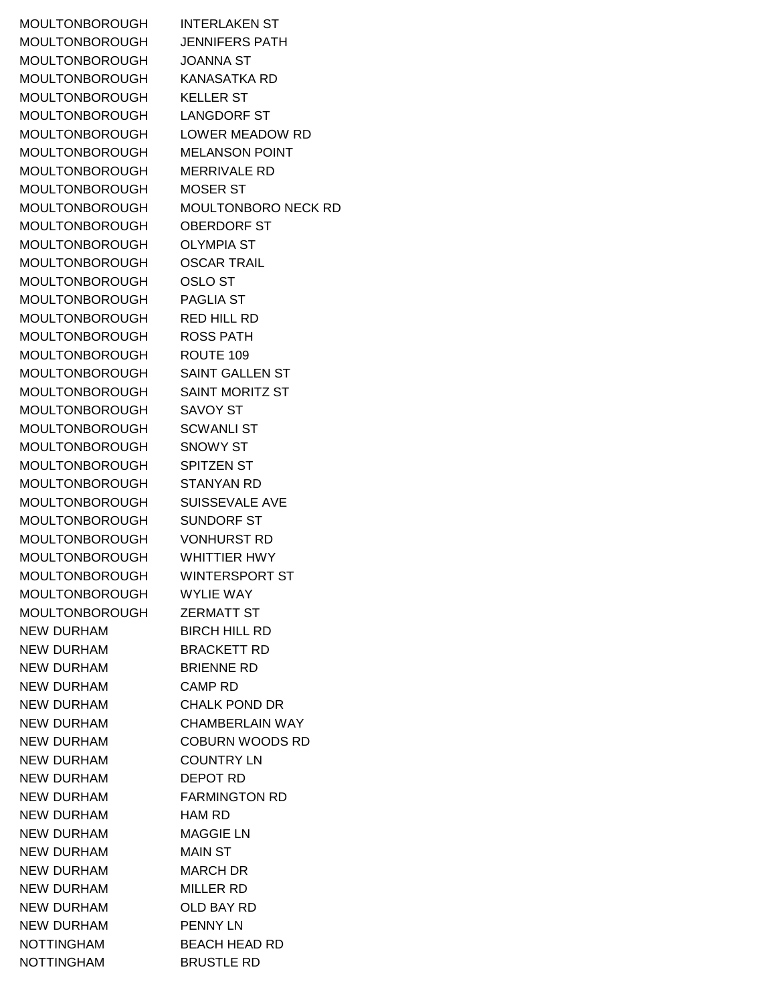MOULTONBOROUGH INTERLAKEN ST MOULTONBOROUGH JENNIFERS PATH MOULTONBOROUGH JOANNA ST MOULTONBOROUGH KANASATKA RD MOULTONBOROUGH KELLER ST MOULTONBOROUGH LANGDORF ST MOULTONBOROUGH LOWER MEADOW RD MOULTONBOROUGH MELANSON POINT MOULTONBOROUGH MERRIVALE RD MOULTONBOROUGH MOSER ST MOULTONBOROUGH OBERDORF ST MOULTONBOROUGH OLYMPIA ST MOULTONBOROUGH OSCAR TRAIL MOULTONBOROUGH OSLO ST MOULTONBOROUGH PAGLIA ST MOULTONBOROUGH RED HILL RD MOULTONBOROUGH ROSS PATH MOULTONBOROUGH ROUTE 109 MOULTONBOROUGH SAINT GALLEN ST MOULTONBOROUGH SAINT MORITZ ST MOULTONBOROUGH SAVOY ST MOULTONBOROUGH SCWANLI ST MOULTONBOROUGH SNOWY ST MOULTONBOROUGH SPITZEN ST MOULTONBOROUGH STANYAN RD MOULTONBOROUGH SUISSEVALE AVE MOULTONBOROUGH SUNDORF ST MOULTONBOROUGH VONHURST RD MOULTONBOROUGH WHITTIER HWY MOULTONBOROUGH WINTERSPORT ST MOULTONBOROUGH WYLIE WAY MOULTONBOROUGH ZERMATT ST NEW DURHAM BIRCH HILL RD NEW DURHAM BRACKETT RD NEW DURHAM BRIENNE RD NEW DURHAM CAMP RD NEW DURHAM CHALK POND DR NEW DURHAM CHAMBERLAIN WAY NEW DURHAM COBURN WOODS RD NEW DURHAM COUNTRY LN NEW DURHAM DEPOT RD NEW DURHAM FARMINGTON RD NEW DURHAM **HAM RD** NEW DURHAM MAGGIE LN NEW DURHAM MAIN ST NEW DURHAM MARCH DR NEW DURHAM MILLER RD NEW DURHAM OLD BAY RD NEW DURHAM PENNY LN NOTTINGHAM BEACH HEAD RD NOTTINGHAM BRUSTLE RD

MOULTONBOROUGH MOULTONBORO NECK RD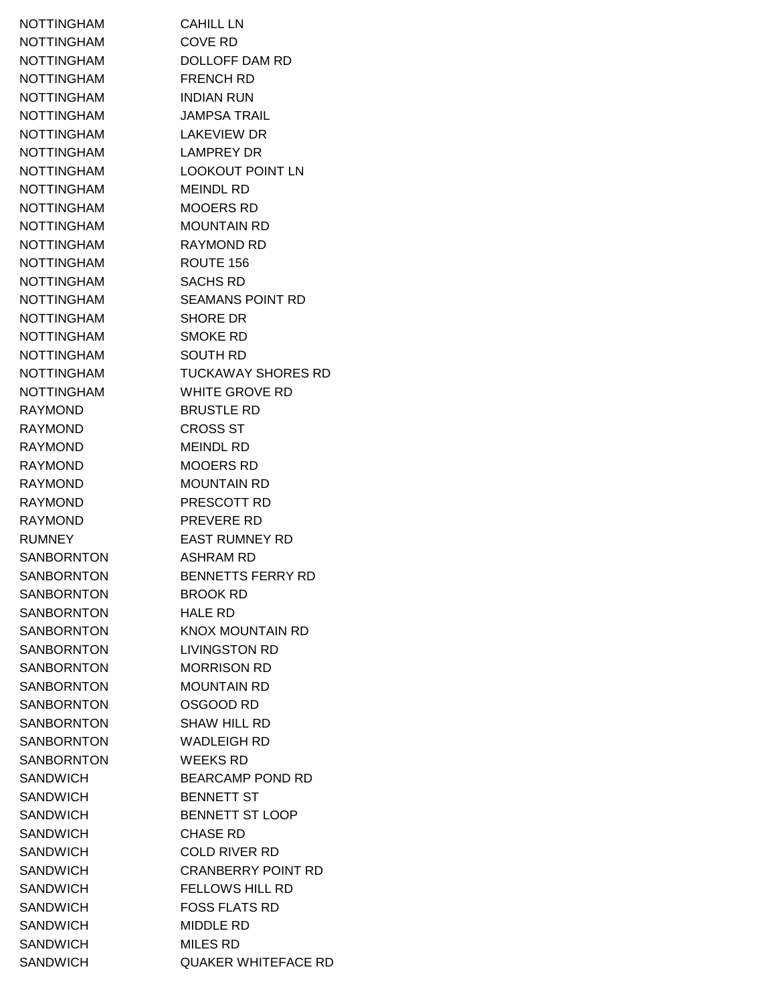NOTTINGHAM CAHILL LN NOTTINGHAM COVE RD NOTTINGHAM DOLLOFF DAM RD NOTTINGHAM FRENCH RD NOTTINGHAM INDIAN RUN NOTTINGHAM JAMPSA TRAIL NOTTINGHAM LAKEVIEW DR NOTTINGHAM LAMPREY DR NOTTINGHAM LOOKOUT POINT LN NOTTINGHAM MEINDL RD NOTTINGHAM MOOERS RD NOTTINGHAM MOUNTAIN RD NOTTINGHAM RAYMOND RD NOTTINGHAM ROUTE 156 NOTTINGHAM SACHS RD NOTTINGHAM SEAMANS POINT RD NOTTINGHAM SHORE DR NOTTINGHAM SMOKE RD NOTTINGHAM SOUTH RD NOTTINGHAM TUCKAWAY SHORES RD NOTTINGHAM WHITE GROVE RD RAYMOND BRUSTLE RD RAYMOND CROSS ST RAYMOND MEINDL RD RAYMOND MOOERS RD RAYMOND MOUNTAIN RD RAYMOND PRESCOTT RD RAYMOND PREVERE RD RUMNEY EAST RUMNEY RD SANBORNTON ASHRAM RD SANBORNTON BENNETTS FERRY RD SANBORNTON BROOK RD SANBORNTON HALE RD SANBORNTON KNOX MOUNTAIN RD SANBORNTON LIVINGSTON RD SANBORNTON MORRISON RD SANBORNTON MOUNTAIN RD SANBORNTON **OSGOOD RD** SANBORNTON SHAW HILL RD SANBORNTON WADLEIGH RD SANBORNTON WEEKS RD SANDWICH BEARCAMP POND RD SANDWICH BENNETT ST SANDWICH BENNETT ST LOOP SANDWICH CHASE RD SANDWICH COLD RIVER RD SANDWICH CRANBERRY POINT RD SANDWICH FELLOWS HILL RD SANDWICH FOSS FLATS RD SANDWICH MIDDLE RD SANDWICH MILES RD SANDWICH QUAKER WHITEFACE RD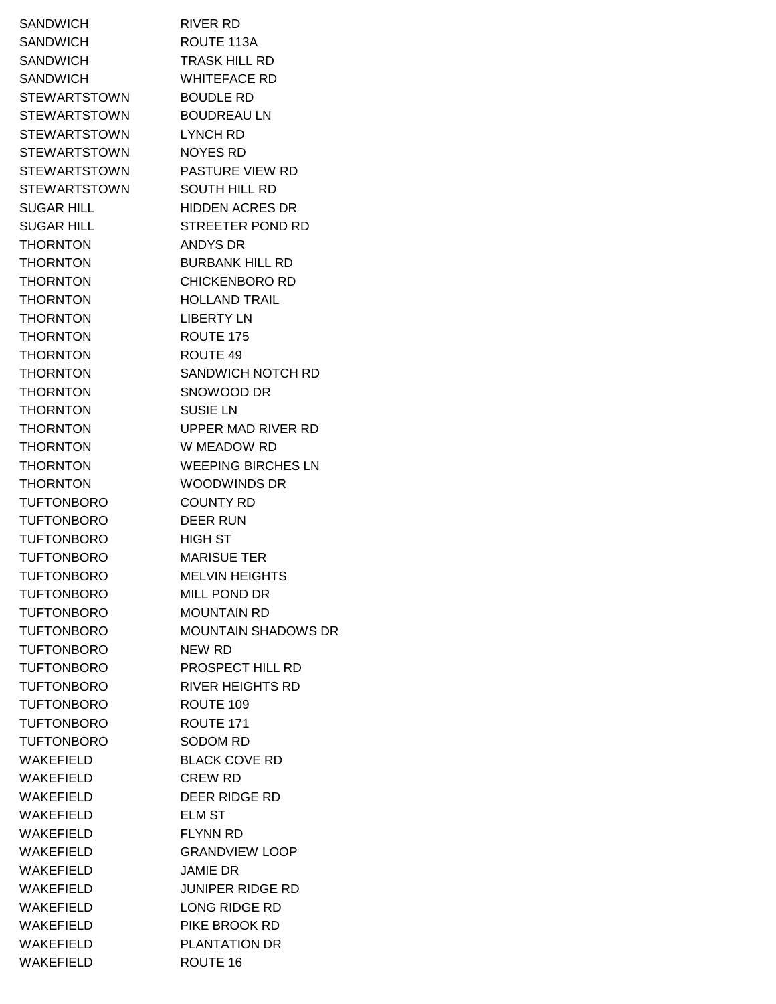SANDWICH RIVER RD SANDWICH ROUTE 113A SANDWICH TRASK HILL RD SANDWICH WHITEFACE RD STEWARTSTOWN BOUDLE RD STEWARTSTOWN BOUDREAU LN STEWARTSTOWN LYNCH RD STEWARTSTOWN NOYES RD STEWARTSTOWN PASTURE VIEW RD STEWARTSTOWN SOUTH HILL RD SUGAR HILL HIDDEN ACRES DR SUGAR HILL STREETER POND RD THORNTON ANDYS DR THORNTON BURBANK HILL RD THORNTON CHICKENBORO RD THORNTON HOLLAND TRAIL THORNTON LIBERTY LN THORNTON ROUTE 175 THORNTON ROUTE 49 THORNTON SNOWOOD DR THORNTON SUSIE LN THORNTON W MEADOW RD THORNTON WOODWINDS DR TUFTONBORO COUNTY RD TUFTONBORO DEER RUN TUFTONBORO HIGH ST TUFTONBORO MARISUE TER TUFTONBORO MELVIN HEIGHTS TUFTONBORO MILL POND DR TUFTONBORO MOUNTAIN RD TUFTONBORO NEW RD TUFTONBORO PROSPECT HILL RD TUFTONBORO RIVER HEIGHTS RD TUFTONBORO ROUTE 109 TUFTONBORO ROUTE 171 TUFTONBORO SODOM RD WAKEFIELD BLACK COVE RD WAKEFIELD CREW RD WAKEFIELD DEER RIDGE RD WAKEFIELD ELM ST WAKEFIELD FLYNN RD WAKEFIELD GRANDVIEW LOOP WAKEFIELD JAMIE DR WAKEFIELD JUNIPER RIDGE RD WAKEFIELD LONG RIDGE RD WAKEFIELD PIKE BROOK RD WAKEFIELD PLANTATION DR WAKEFIELD ROUTE 16

THORNTON SANDWICH NOTCH RD THORNTON UPPER MAD RIVER RD THORNTON WEEPING BIRCHES LN TUFTONBORO MOUNTAIN SHADOWS DR